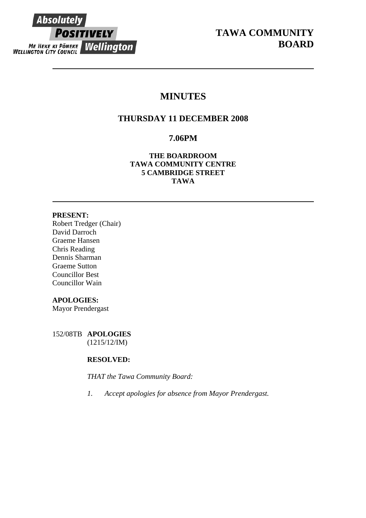

# **MINUTES**

## **THURSDAY 11 DECEMBER 2008**

## **7.06PM**

**THE BOARDROOM TAWA COMMUNITY CENTRE 5 CAMBRIDGE STREET TAWA** 

## **PRESENT:**

Robert Tredger (Chair) David Darroch Graeme Hansen Chris Reading Dennis Sharman Graeme Sutton Councillor Best Councillor Wain

## **APOLOGIES:**

Mayor Prendergast

152/08TB **APOLOGIES** (1215/12/IM)

## **RESOLVED:**

*THAT the Tawa Community Board:* 

*1. Accept apologies for absence from Mayor Prendergast.*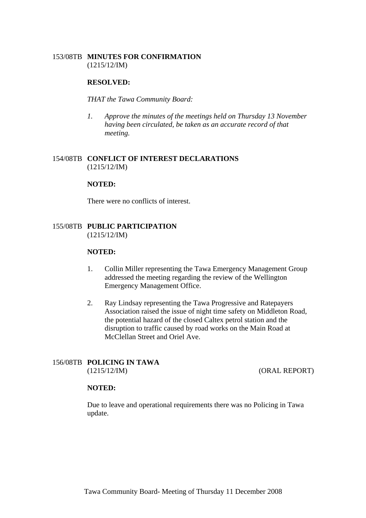## 153/08TB **MINUTES FOR CONFIRMATION** (1215/12/IM)

## **RESOLVED:**

### *THAT the Tawa Community Board:*

*1. Approve the minutes of the meetings held on Thursday 13 November having been circulated, be taken as an accurate record of that meeting.* 

## 154/08TB **CONFLICT OF INTEREST DECLARATIONS** (1215/12/IM)

#### **NOTED:**

There were no conflicts of interest.

## 155/08TB **PUBLIC PARTICIPATION** (1215/12/IM)

#### **NOTED:**

- 1. Collin Miller representing the Tawa Emergency Management Group addressed the meeting regarding the review of the Wellington Emergency Management Office.
- 2. Ray Lindsay representing the Tawa Progressive and Ratepayers Association raised the issue of night time safety on Middleton Road, the potential hazard of the closed Caltex petrol station and the disruption to traffic caused by road works on the Main Road at McClellan Street and Oriel Ave.

### 156/08TB **POLICING IN TAWA** (1215/12/IM) (ORAL REPORT)

## **NOTED:**

Due to leave and operational requirements there was no Policing in Tawa update.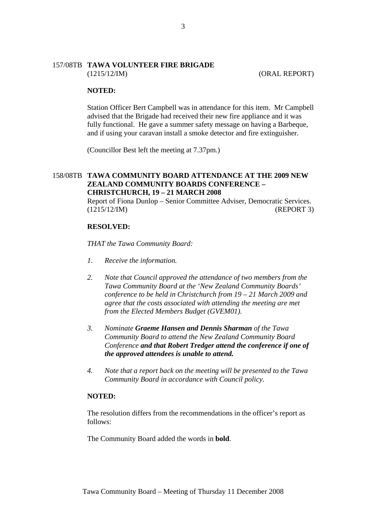### 157/08TB **TAWA VOLUNTEER FIRE BRIGADE** (1215/12/IM) (ORAL REPORT)

#### **NOTED:**

Station Officer Bert Campbell was in attendance for this item. Mr Campbell advised that the Brigade had received their new fire appliance and it was fully functional. He gave a summer safety message on having a Barbeque, and if using your caravan install a smoke detector and fire extinguisher.

(Councillor Best left the meeting at 7.37pm.)

## 158/08TB **TAWA COMMUNITY BOARD ATTENDANCE AT THE 2009 NEW ZEALAND COMMUNITY BOARDS CONFERENCE – CHRISTCHURCH, 19 – 21 MARCH 2008**

Report of Fiona Dunlop – Senior Committee Adviser, Democratic Services. (1215/12/IM) (REPORT 3)

#### **RESOLVED:**

*THAT the Tawa Community Board:* 

- *1. Receive the information.*
- *2. Note that Council approved the attendance of two members from the Tawa Community Board at the 'New Zealand Community Boards' conference to be held in Christchurch from 19 – 21 March 2009 and agree that the costs associated with attending the meeting are met from the Elected Members Budget (GVEM01).*
- *3. Nominate Graeme Hansen and Dennis Sharman of the Tawa Community Board to attend the New Zealand Community Board Conference and that Robert Tredger attend the conference if one of the approved attendees is unable to attend.*
- *4. Note that a report back on the meeting will be presented to the Tawa Community Board in accordance with Council policy.*

#### **NOTED:**

The resolution differs from the recommendations in the officer's report as follows:

The Community Board added the words in **bold**.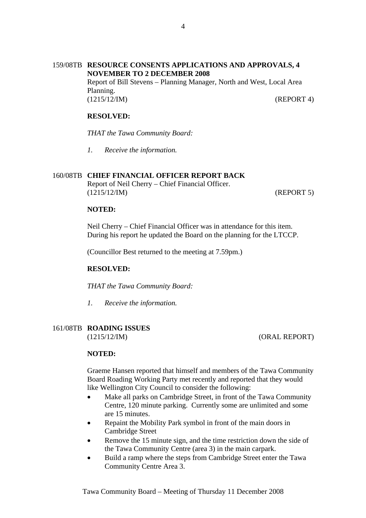## 159/08TB **RESOURCE CONSENTS APPLICATIONS AND APPROVALS, 4 NOVEMBER TO 2 DECEMBER 2008**  Report of Bill Stevens – Planning Manager, North and West, Local Area Planning. (1215/12/IM) (REPORT 4)

## **RESOLVED:**

*THAT the Tawa Community Board:*

*1. Receive the information.* 

## 160/08TB **CHIEF FINANCIAL OFFICER REPORT BACK**

Report of Neil Cherry – Chief Financial Officer. (1215/12/IM) (REPORT 5)

### **NOTED:**

Neil Cherry – Chief Financial Officer was in attendance for this item. During his report he updated the Board on the planning for the LTCCP.

(Councillor Best returned to the meeting at 7.59pm.)

## **RESOLVED:**

*THAT the Tawa Community Board:*

*1. Receive the information.* 

## 161/08TB **ROADING ISSUES**

(1215/12/IM) (ORAL REPORT)

## **NOTED:**

Graeme Hansen reported that himself and members of the Tawa Community Board Roading Working Party met recently and reported that they would like Wellington City Council to consider the following:

- Make all parks on Cambridge Street, in front of the Tawa Community Centre, 120 minute parking. Currently some are unlimited and some are 15 minutes.
- Repaint the Mobility Park symbol in front of the main doors in Cambridge Street
- Remove the 15 minute sign, and the time restriction down the side of the Tawa Community Centre (area 3) in the main carpark.
- Build a ramp where the steps from Cambridge Street enter the Tawa Community Centre Area 3.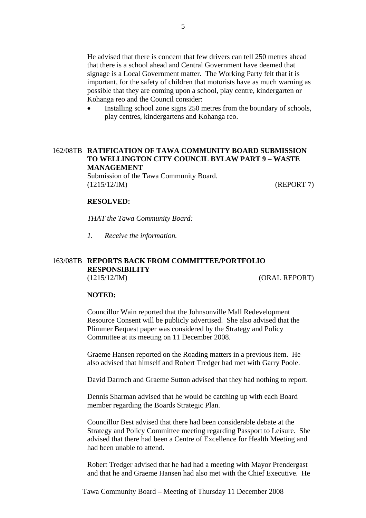He advised that there is concern that few drivers can tell 250 metres ahead that there is a school ahead and Central Government have deemed that signage is a Local Government matter. The Working Party felt that it is important, for the safety of children that motorists have as much warning as possible that they are coming upon a school, play centre, kindergarten or Kohanga reo and the Council consider:

Installing school zone signs 250 metres from the boundary of schools, play centres, kindergartens and Kohanga reo.

## 162/08TB **RATIFICATION OF TAWA COMMUNITY BOARD SUBMISSION TO WELLINGTON CITY COUNCIL BYLAW PART 9 – WASTE MANAGEMENT**

Submission of the Tawa Community Board. (1215/12/IM) (REPORT 7)

### **RESOLVED:**

*THAT the Tawa Community Board:*

*1. Receive the information.* 

## 163/08TB **REPORTS BACK FROM COMMITTEE/PORTFOLIO RESPONSIBILITY** (1215/12/IM) (ORAL REPORT)

#### **NOTED:**

Councillor Wain reported that the Johnsonville Mall Redevelopment Resource Consent will be publicly advertised. She also advised that the Plimmer Bequest paper was considered by the Strategy and Policy Committee at its meeting on 11 December 2008.

Graeme Hansen reported on the Roading matters in a previous item. He also advised that himself and Robert Tredger had met with Garry Poole.

David Darroch and Graeme Sutton advised that they had nothing to report.

Dennis Sharman advised that he would be catching up with each Board member regarding the Boards Strategic Plan.

Councillor Best advised that there had been considerable debate at the Strategy and Policy Committee meeting regarding Passport to Leisure. She advised that there had been a Centre of Excellence for Health Meeting and had been unable to attend.

Robert Tredger advised that he had had a meeting with Mayor Prendergast and that he and Graeme Hansen had also met with the Chief Executive. He

Tawa Community Board – Meeting of Thursday 11 December 2008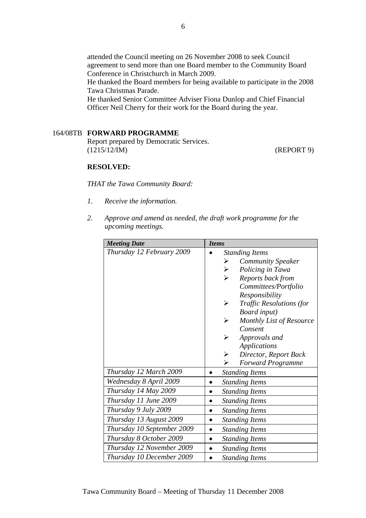attended the Council meeting on 26 November 2008 to seek Council agreement to send more than one Board member to the Community Board Conference in Christchurch in March 2009.

He thanked the Board members for being available to participate in the 2008 Tawa Christmas Parade.

He thanked Senior Committee Adviser Fiona Dunlop and Chief Financial Officer Neil Cherry for their work for the Board during the year.

## 164/08TB **FORWARD PROGRAMME**

Report prepared by Democratic Services. (1215/12/IM) (REPORT 9)

## **RESOLVED:**

*THAT the Tawa Community Board:* 

- *1. Receive the information.*
- *2. Approve and amend as needed, the draft work programme for the upcoming meetings.*

| <b>Meeting Date</b>        | <b>Items</b>                              |
|----------------------------|-------------------------------------------|
| Thursday 12 February 2009  | <b>Standing Items</b>                     |
|                            | <b>Community Speaker</b><br>➤             |
|                            | $\blacktriangleright$<br>Policing in Tawa |
|                            | Reports back from<br>↘                    |
|                            | Committees/Portfolio                      |
|                            | Responsibility                            |
|                            | <b>Traffic Resolutions (for</b><br>➤      |
|                            | <b>Board</b> input)                       |
|                            | Monthly List of Resource<br>➤             |
|                            | Consent                                   |
|                            | Approvals and                             |
|                            | <b>Applications</b>                       |
|                            | Director, Report Back<br>➤                |
|                            | ➤<br><b>Forward Programme</b>             |
| Thursday 12 March 2009     | <b>Standing Items</b>                     |
| Wednesday 8 April 2009     | <b>Standing Items</b>                     |
| Thursday 14 May 2009       | <b>Standing Items</b>                     |
| Thursday 11 June 2009      | <b>Standing Items</b>                     |
| Thursday 9 July 2009       | <b>Standing Items</b>                     |
| Thursday 13 August 2009    | <b>Standing Items</b>                     |
| Thursday 10 September 2009 | <b>Standing Items</b>                     |
| Thursday 8 October 2009    | <b>Standing Items</b>                     |
| Thursday 12 November 2009  | <b>Standing Items</b>                     |
| Thursday 10 December 2009  | <b>Standing Items</b>                     |